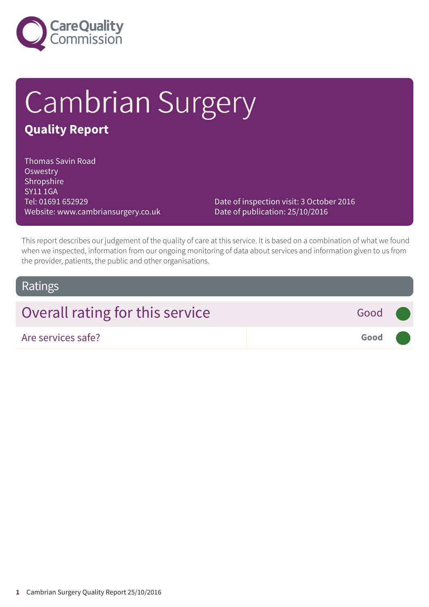

# Cambrian Surgery **Quality Report**

#### Thomas Savin Road **Oswestry** Shropshire SY11 1GA Tel: 01691 652929 Website: www.cambriansurgery.co.uk

Date of inspection visit: 3 October 2016 Date of publication: 25/10/2016

This report describes our judgement of the quality of care at this service. It is based on a combination of what we found when we inspected, information from our ongoing monitoring of data about services and information given to us from the provider, patients, the public and other organisations.

### Ratings

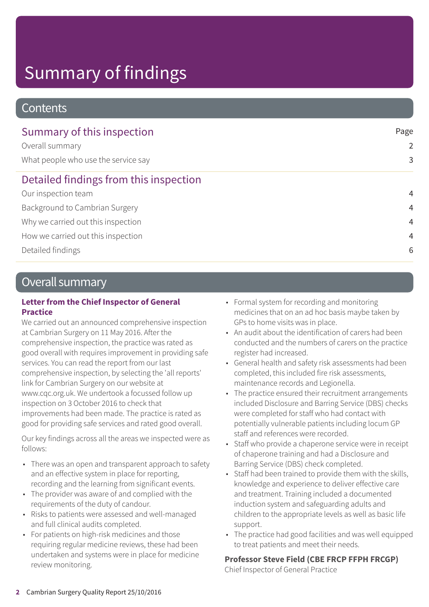# Summary of findings

### **Contents**

| Summary of this inspection             | Page<br>2      |
|----------------------------------------|----------------|
| Overall summary                        |                |
| What people who use the service say    | 3              |
| Detailed findings from this inspection |                |
| Our inspection team                    | $\overline{4}$ |
| Background to Cambrian Surgery         | $\overline{4}$ |
| Why we carried out this inspection     | $\overline{4}$ |
| How we carried out this inspection     | $\overline{4}$ |
| Detailed findings                      | 6              |

### Overall summary

### **Letter from the Chief Inspector of General Practice**

We carried out an announced comprehensive inspection at Cambrian Surgery on 11 May 2016. After the comprehensive inspection, the practice was rated as good overall with requires improvement in providing safe services. You can read the report from our last comprehensive inspection, by selecting the 'all reports' link for Cambrian Surgery on our website at www.cqc.org.uk. We undertook a focussed follow up inspection on 3 October 2016 to check that improvements had been made. The practice is rated as good for providing safe services and rated good overall.

Our key findings across all the areas we inspected were as follows:

- There was an open and transparent approach to safety and an effective system in place for reporting, recording and the learning from significant events.
- The provider was aware of and complied with the requirements of the duty of candour.
- Risks to patients were assessed and well-managed and full clinical audits completed.
- For patients on high-risk medicines and those requiring regular medicine reviews, these had been undertaken and systems were in place for medicine review monitoring.
- Formal system for recording and monitoring medicines that on an ad hoc basis maybe taken by GPs to home visits was in place.
- An audit about the identification of carers had been conducted and the numbers of carers on the practice register had increased.
- General health and safety risk assessments had been completed, this included fire risk assessments, maintenance records and Legionella.
- The practice ensured their recruitment arrangements included Disclosure and Barring Service (DBS) checks were completed for staff who had contact with potentially vulnerable patients including locum GP staff and references were recorded.
- Staff who provide a chaperone service were in receipt of chaperone training and had a Disclosure and Barring Service (DBS) check completed.
- Staff had been trained to provide them with the skills, knowledge and experience to deliver effective care and treatment. Training included a documented induction system and safeguarding adults and children to the appropriate levels as well as basic life support.
- The practice had good facilities and was well equipped to treat patients and meet their needs.

### **Professor Steve Field (CBE FRCP FFPH FRCGP)**

Chief Inspector of General Practice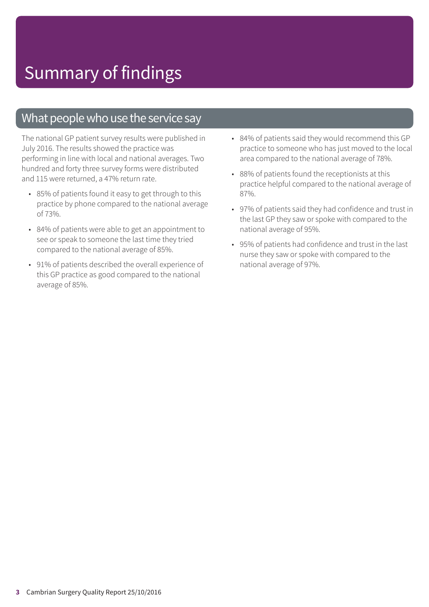### What people who use the service say

The national GP patient survey results were published in July 2016. The results showed the practice was performing in line with local and national averages. Two hundred and forty three survey forms were distributed and 115 were returned, a 47% return rate.

- 85% of patients found it easy to get through to this practice by phone compared to the national average of 73%.
- 84% of patients were able to get an appointment to see or speak to someone the last time they tried compared to the national average of 85%.
- 91% of patients described the overall experience of this GP practice as good compared to the national average of 85%.
- 84% of patients said they would recommend this GP practice to someone who has just moved to the local area compared to the national average of 78%.
- 88% of patients found the receptionists at this practice helpful compared to the national average of 87%.
- 97% of patients said they had confidence and trust in the last GP they saw or spoke with compared to the national average of 95%.
- 95% of patients had confidence and trust in the last nurse they saw or spoke with compared to the national average of 97%.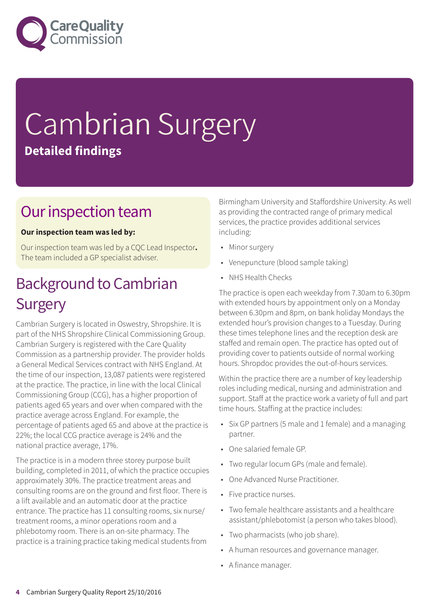

# Cambrian Surgery **Detailed findings**

### Our inspection team

#### **Our inspection team was led by:**

Our inspection team was led by a CQC Lead Inspector**.** The team included a GP specialist adviser.

## **Background to Cambrian Surgery**

Cambrian Surgery is located in Oswestry, Shropshire. It is part of the NHS Shropshire Clinical Commissioning Group. Cambrian Surgery is registered with the Care Quality Commission as a partnership provider. The provider holds a General Medical Services contract with NHS England. At the time of our inspection, 13,087 patients were registered at the practice. The practice, in line with the local Clinical Commissioning Group (CCG), has a higher proportion of patients aged 65 years and over when compared with the practice average across England. For example, the percentage of patients aged 65 and above at the practice is 22%; the local CCG practice average is 24% and the national practice average, 17%.

The practice is in a modern three storey purpose built building, completed in 2011, of which the practice occupies approximately 30%. The practice treatment areas and consulting rooms are on the ground and first floor. There is a lift available and an automatic door at the practice entrance. The practice has 11 consulting rooms, six nurse/ treatment rooms, a minor operations room and a phlebotomy room. There is an on-site pharmacy. The practice is a training practice taking medical students from

Birmingham University and Staffordshire University. As well as providing the contracted range of primary medical services, the practice provides additional services including:

- Minor surgery
- Venepuncture (blood sample taking)
- NHS Health Checks

The practice is open each weekday from 7.30am to 6.30pm with extended hours by appointment only on a Monday between 6.30pm and 8pm, on bank holiday Mondays the extended hour's provision changes to a Tuesday. During these times telephone lines and the reception desk are staffed and remain open. The practice has opted out of providing cover to patients outside of normal working hours. Shropdoc provides the out-of-hours services.

Within the practice there are a number of key leadership roles including medical, nursing and administration and support. Staff at the practice work a variety of full and part time hours. Staffing at the practice includes:

- Six GP partners (5 male and 1 female) and a managing partner.
- One salaried female GP.
- Two regular locum GPs (male and female).
- One Advanced Nurse Practitioner.
- Five practice nurses.
- Two female healthcare assistants and a healthcare assistant/phlebotomist (a person who takes blood).
- Two pharmacists (who job share).
- A human resources and governance manager.
- A finance manager.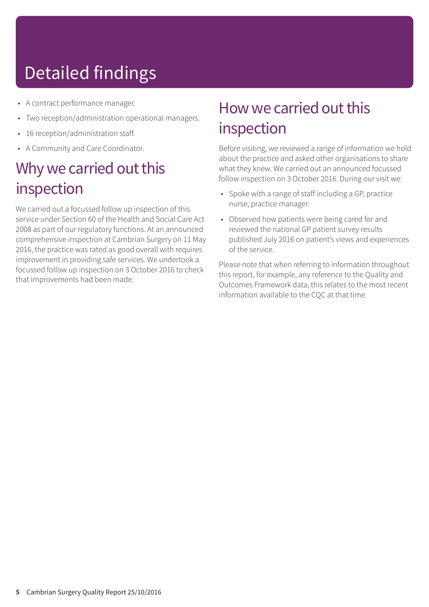# Detailed findings

- A contract performance manager.
- Two reception/administration operational managers.
- 16 reception/administration staff.
- A Community and Care Coordinator.

### Why we carried out this inspection

We carried out a focussed follow up inspection of this service under Section 60 of the Health and Social Care Act 2008 as part of our regulatory functions. At an announced comprehensive inspection at Cambrian Surgery on 11 May 2016, the practice was rated as good overall with requires improvement in providing safe services. We undertook a focussed follow up inspection on 3 October 2016 to check that improvements had been made.

## How we carried out this inspection

Before visiting, we reviewed a range of information we hold about the practice and asked other organisations to share what they knew. We carried out an announced focussed follow inspection on 3 October 2016. During our visit we:

- Spoke with a range of staff including a GP, practice nurse, practice manager.
- Observed how patients were being cared for and reviewed the national GP patient survey results published July 2016 on patient's views and experiences of the service.

Please note that when referring to information throughout this report, for example, any reference to the Quality and Outcomes Framework data, this relates to the most recent information available to the CQC at that time.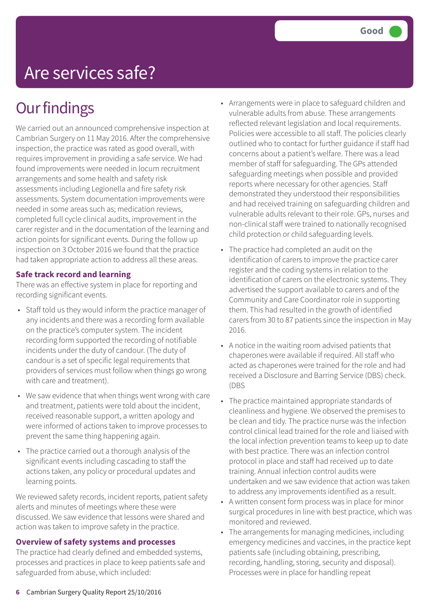# Are services safe?

## **Our findings**

We carried out an announced comprehensive inspection at Cambrian Surgery on 11 May 2016. After the comprehensive inspection, the practice was rated as good overall, with requires improvement in providing a safe service. We had found improvements were needed in locum recruitment arrangements and some health and safety risk assessments including Legionella and fire safety risk assessments. System documentation improvements were needed in some areas such as; medication reviews, completed full cycle clinical audits, improvement in the carer register and in the documentation of the learning and action points for significant events. During the follow up inspection on 3 October 2016 we found that the practice had taken appropriate action to address all these areas.

#### **Safe track record and learning**

There was an effective system in place for reporting and recording significant events.

- Staff told us they would inform the practice manager of any incidents and there was a recording form available on the practice's computer system. The incident recording form supported the recording of notifiable incidents under the duty of candour. (The duty of candour is a set of specific legal requirements that providers of services must follow when things go wrong with care and treatment).
- We saw evidence that when things went wrong with care and treatment, patients were told about the incident, received reasonable support, a written apology and were informed of actions taken to improve processes to prevent the same thing happening again.
- The practice carried out a thorough analysis of the significant events including cascading to staff the actions taken, any policy or procedural updates and learning points.

We reviewed safety records, incident reports, patient safety alerts and minutes of meetings where these were discussed. We saw evidence that lessons were shared and action was taken to improve safety in the practice.

#### **Overview of safety systems and processes**

The practice had clearly defined and embedded systems, processes and practices in place to keep patients safe and safeguarded from abuse, which included:

- Arrangements were in place to safeguard children and vulnerable adults from abuse. These arrangements reflected relevant legislation and local requirements. Policies were accessible to all staff. The policies clearly outlined who to contact for further guidance if staff had concerns about a patient's welfare. There was a lead member of staff for safeguarding. The GPs attended safeguarding meetings when possible and provided reports where necessary for other agencies. Staff demonstrated they understood their responsibilities and had received training on safeguarding children and vulnerable adults relevant to their role. GPs, nurses and non-clinical staff were trained to nationally recognised child protection or child safeguarding levels.
- The practice had completed an audit on the identification of carers to improve the practice carer register and the coding systems in relation to the identification of carers on the electronic systems. They advertised the support available to carers and of the Community and Care Coordinator role in supporting them. This had resulted in the growth of identified carers from 30 to 87 patients since the inspection in May 2016.
- A notice in the waiting room advised patients that chaperones were available if required. All staff who acted as chaperones were trained for the role and had received a Disclosure and Barring Service (DBS) check. (DBS
- The practice maintained appropriate standards of cleanliness and hygiene. We observed the premises to be clean and tidy. The practice nurse was the infection control clinical lead trained for the role and liaised with the local infection prevention teams to keep up to date with best practice. There was an infection control protocol in place and staff had received up to date training. Annual infection control audits were undertaken and we saw evidence that action was taken to address any improvements identified as a result.
- A written consent form process was in place for minor surgical procedures in line with best practice, which was monitored and reviewed.
- The arrangements for managing medicines, including emergency medicines and vaccines, in the practice kept patients safe (including obtaining, prescribing, recording, handling, storing, security and disposal). Processes were in place for handling repeat